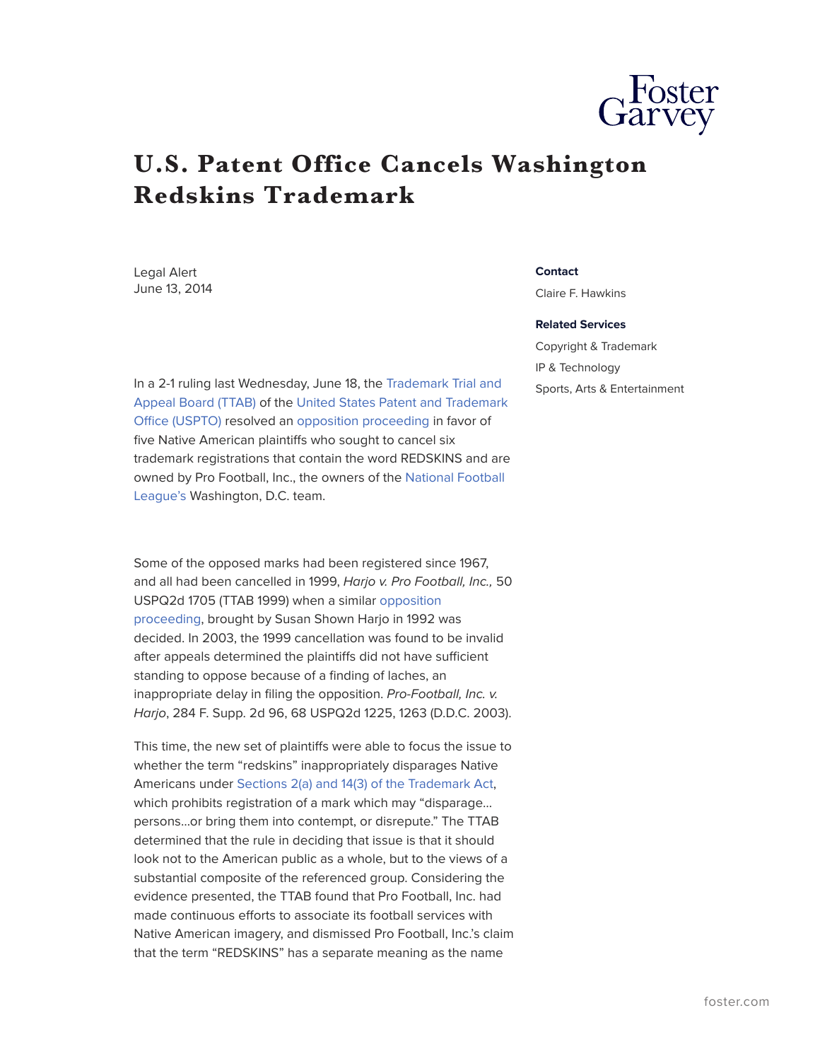

## **U.S. Patent Office Cancels Washington Redskins Trademark**

Legal Alert June 13, 2014

[League's](http://www.nfl.com/) Washington, D.C. team.

In a 2-1 ruling last Wednesday, June 18, the [Trademark Trial and](http://www.uspto.gov/trademarks/process/appeal/) [Appeal Board \(TTAB\)](http://www.uspto.gov/trademarks/process/appeal/) of the [United States Patent and Trademark](http://www.uspto.gov/) [Office \(USPTO\)](http://www.uspto.gov/) resolved an [opposition proceeding](http://www.uspto.gov/news/DCfootballtrademark.jsp) in favor of five Native American plaintiffs who sought to cancel six trademark registrations that contain the word REDSKINS and are owned by Pro Football, Inc., the owners of the [National Football](http://www.nfl.com/)

Some of the opposed marks had been registered since 1967, and all had been cancelled in 1999, *Harjo v. Pro Football, Inc.,* 50 USPQ2d 1705 (TTAB 1999) when a similar [opposition](http://www.cnn.com/2014/06/18/opinion/moya-smith-redskins-trademark/) [proceeding](http://www.cnn.com/2014/06/18/opinion/moya-smith-redskins-trademark/), brought by Susan Shown Harjo in 1992 was decided. In 2003, the 1999 cancellation was found to be invalid after appeals determined the plaintiffs did not have sufficient standing to oppose because of a finding of laches, an inappropriate delay in filing the opposition. *Pro-Football, Inc. v. Harjo*, 284 F. Supp. 2d 96, 68 USPQ2d 1225, 1263 (D.D.C. 2003).

This time, the new set of plaintiffs were able to focus the issue to whether the term "redskins" inappropriately disparages Native Americans under [Sections 2\(a\) and 14\(3\) of the Trademark Act](http://www.uspto.gov/trademarks/law/Trademark_Statutes.pdf), which prohibits registration of a mark which may "disparage… persons…or bring them into contempt, or disrepute." The TTAB determined that the rule in deciding that issue is that it should look not to the American public as a whole, but to the views of a substantial composite of the referenced group. Considering the evidence presented, the TTAB found that Pro Football, Inc. had made continuous efforts to associate its football services with Native American imagery, and dismissed Pro Football, Inc.'s claim that the term "REDSKINS" has a separate meaning as the name

## **Contact**

Claire F. Hawkins

## **Related Services**

Copyright & Trademark IP & Technology Sports, Arts & Entertainment